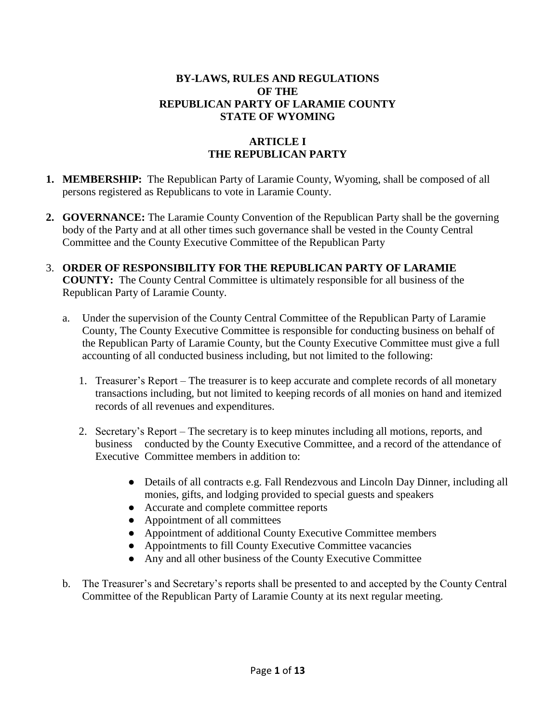#### **BY-LAWS, RULES AND REGULATIONS OF THE REPUBLICAN PARTY OF LARAMIE COUNTY STATE OF WYOMING**

# **ARTICLE I THE REPUBLICAN PARTY**

- **1. MEMBERSHIP:** The Republican Party of Laramie County, Wyoming, shall be composed of all persons registered as Republicans to vote in Laramie County.
- **2. GOVERNANCE:** The Laramie County Convention of the Republican Party shall be the governing body of the Party and at all other times such governance shall be vested in the County Central Committee and the County Executive Committee of the Republican Party
- 3. **ORDER OF RESPONSIBILITY FOR THE REPUBLICAN PARTY OF LARAMIE COUNTY:** The County Central Committee is ultimately responsible for all business of the Republican Party of Laramie County.
	- a. Under the supervision of the County Central Committee of the Republican Party of Laramie County, The County Executive Committee is responsible for conducting business on behalf of the Republican Party of Laramie County, but the County Executive Committee must give a full accounting of all conducted business including, but not limited to the following:
		- 1. Treasurer's Report The treasurer is to keep accurate and complete records of all monetary transactions including, but not limited to keeping records of all monies on hand and itemized records of all revenues and expenditures.
		- 2. Secretary's Report The secretary is to keep minutes including all motions, reports, and business conducted by the County Executive Committee, and a record of the attendance of Executive Committee members in addition to:
			- Details of all contracts e.g. Fall Rendezvous and Lincoln Day Dinner, including all monies, gifts, and lodging provided to special guests and speakers
			- Accurate and complete committee reports
			- Appointment of all committees
			- Appointment of additional County Executive Committee members
			- Appointments to fill County Executive Committee vacancies
			- Any and all other business of the County Executive Committee
	- b. The Treasurer's and Secretary's reports shall be presented to and accepted by the County Central Committee of the Republican Party of Laramie County at its next regular meeting.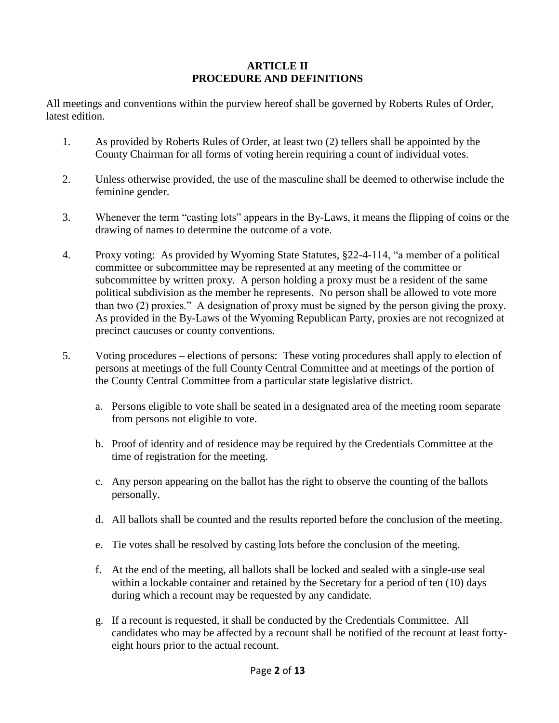### **ARTICLE II PROCEDURE AND DEFINITIONS**

All meetings and conventions within the purview hereof shall be governed by Roberts Rules of Order, latest edition.

- 1. As provided by Roberts Rules of Order, at least two (2) tellers shall be appointed by the County Chairman for all forms of voting herein requiring a count of individual votes.
- 2. Unless otherwise provided, the use of the masculine shall be deemed to otherwise include the feminine gender.
- 3. Whenever the term "casting lots" appears in the By-Laws, it means the flipping of coins or the drawing of names to determine the outcome of a vote.
- 4. Proxy voting: As provided by Wyoming State Statutes, §22-4-114, "a member of a political committee or subcommittee may be represented at any meeting of the committee or subcommittee by written proxy. A person holding a proxy must be a resident of the same political subdivision as the member he represents. No person shall be allowed to vote more than two (2) proxies." A designation of proxy must be signed by the person giving the proxy. As provided in the By-Laws of the Wyoming Republican Party, proxies are not recognized at precinct caucuses or county conventions.
- 5. Voting procedures elections of persons: These voting procedures shall apply to election of persons at meetings of the full County Central Committee and at meetings of the portion of the County Central Committee from a particular state legislative district.
	- a. Persons eligible to vote shall be seated in a designated area of the meeting room separate from persons not eligible to vote.
	- b. Proof of identity and of residence may be required by the Credentials Committee at the time of registration for the meeting.
	- c. Any person appearing on the ballot has the right to observe the counting of the ballots personally.
	- d. All ballots shall be counted and the results reported before the conclusion of the meeting.
	- e. Tie votes shall be resolved by casting lots before the conclusion of the meeting.
	- f. At the end of the meeting, all ballots shall be locked and sealed with a single-use seal within a lockable container and retained by the Secretary for a period of ten (10) days during which a recount may be requested by any candidate.
	- g. If a recount is requested, it shall be conducted by the Credentials Committee. All candidates who may be affected by a recount shall be notified of the recount at least fortyeight hours prior to the actual recount.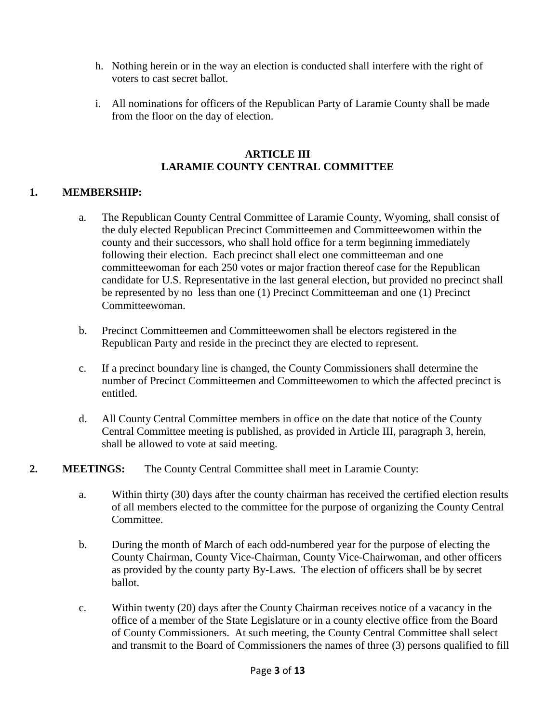- h. Nothing herein or in the way an election is conducted shall interfere with the right of voters to cast secret ballot.
- i. All nominations for officers of the Republican Party of Laramie County shall be made from the floor on the day of election.

#### **ARTICLE III LARAMIE COUNTY CENTRAL COMMITTEE**

### **1. MEMBERSHIP:**

- a. The Republican County Central Committee of Laramie County, Wyoming, shall consist of the duly elected Republican Precinct Committeemen and Committeewomen within the county and their successors, who shall hold office for a term beginning immediately following their election. Each precinct shall elect one committeeman and one committeewoman for each 250 votes or major fraction thereof case for the Republican candidate for U.S. Representative in the last general election, but provided no precinct shall be represented by no less than one (1) Precinct Committeeman and one (1) Precinct Committeewoman.
- b. Precinct Committeemen and Committeewomen shall be electors registered in the Republican Party and reside in the precinct they are elected to represent.
- c. If a precinct boundary line is changed, the County Commissioners shall determine the number of Precinct Committeemen and Committeewomen to which the affected precinct is entitled.
- d. All County Central Committee members in office on the date that notice of the County Central Committee meeting is published, as provided in Article III, paragraph 3, herein, shall be allowed to vote at said meeting.

# **2. MEETINGS:** The County Central Committee shall meet in Laramie County:

- a. Within thirty (30) days after the county chairman has received the certified election results of all members elected to the committee for the purpose of organizing the County Central Committee.
- b. During the month of March of each odd-numbered year for the purpose of electing the County Chairman, County Vice-Chairman, County Vice-Chairwoman, and other officers as provided by the county party By-Laws. The election of officers shall be by secret ballot.
- c. Within twenty (20) days after the County Chairman receives notice of a vacancy in the office of a member of the State Legislature or in a county elective office from the Board of County Commissioners. At such meeting, the County Central Committee shall select and transmit to the Board of Commissioners the names of three (3) persons qualified to fill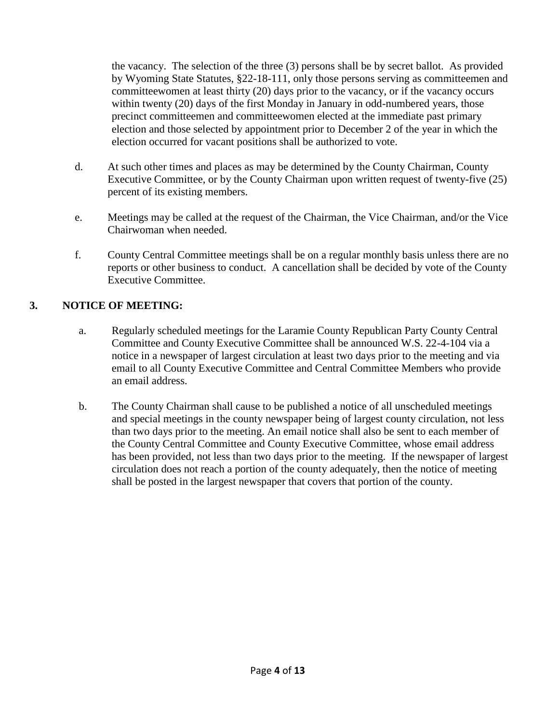the vacancy. The selection of the three (3) persons shall be by secret ballot. As provided by Wyoming State Statutes, §22-18-111, only those persons serving as committeemen and committeewomen at least thirty (20) days prior to the vacancy, or if the vacancy occurs within twenty (20) days of the first Monday in January in odd-numbered years, those precinct committeemen and committeewomen elected at the immediate past primary election and those selected by appointment prior to December 2 of the year in which the election occurred for vacant positions shall be authorized to vote.

- d. At such other times and places as may be determined by the County Chairman, County Executive Committee, or by the County Chairman upon written request of twenty-five (25) percent of its existing members.
- e. Meetings may be called at the request of the Chairman, the Vice Chairman, and/or the Vice Chairwoman when needed.
- f. County Central Committee meetings shall be on a regular monthly basis unless there are no reports or other business to conduct. A cancellation shall be decided by vote of the County Executive Committee.

# **3. NOTICE OF MEETING:**

- a. Regularly scheduled meetings for the Laramie County Republican Party County Central Committee and County Executive Committee shall be announced W.S. 22-4-104 via a notice in a newspaper of largest circulation at least two days prior to the meeting and via email to all County Executive Committee and Central Committee Members who provide an email address.
- b. The County Chairman shall cause to be published a notice of all unscheduled meetings and special meetings in the county newspaper being of largest county circulation, not less than two days prior to the meeting. An email notice shall also be sent to each member of the County Central Committee and County Executive Committee, whose email address has been provided, not less than two days prior to the meeting. If the newspaper of largest circulation does not reach a portion of the county adequately, then the notice of meeting shall be posted in the largest newspaper that covers that portion of the county.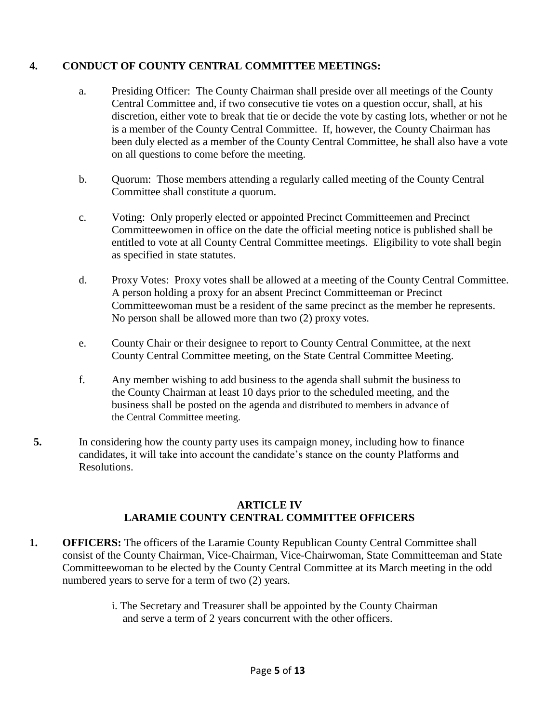### **4. CONDUCT OF COUNTY CENTRAL COMMITTEE MEETINGS:**

- a. Presiding Officer: The County Chairman shall preside over all meetings of the County Central Committee and, if two consecutive tie votes on a question occur, shall, at his discretion, either vote to break that tie or decide the vote by casting lots, whether or not he is a member of the County Central Committee. If, however, the County Chairman has been duly elected as a member of the County Central Committee, he shall also have a vote on all questions to come before the meeting.
- b. Quorum: Those members attending a regularly called meeting of the County Central Committee shall constitute a quorum.
- c. Voting: Only properly elected or appointed Precinct Committeemen and Precinct Committeewomen in office on the date the official meeting notice is published shall be entitled to vote at all County Central Committee meetings. Eligibility to vote shall begin as specified in state statutes.
- d. Proxy Votes: Proxy votes shall be allowed at a meeting of the County Central Committee. A person holding a proxy for an absent Precinct Committeeman or Precinct Committeewoman must be a resident of the same precinct as the member he represents. No person shall be allowed more than two (2) proxy votes.
- e. County Chair or their designee to report to County Central Committee, at the next County Central Committee meeting, on the State Central Committee Meeting.
- f. Any member wishing to add business to the agenda shall submit the business to the County Chairman at least 10 days prior to the scheduled meeting, and the business shall be posted on the agenda and distributed to members in advance of the Central Committee meeting.
- **5.** In considering how the county party uses its campaign money, including how to finance candidates, it will take into account the candidate's stance on the county Platforms and Resolutions.

### **ARTICLE IV LARAMIE COUNTY CENTRAL COMMITTEE OFFICERS**

- **1. OFFICERS:** The officers of the Laramie County Republican County Central Committee shall consist of the County Chairman, Vice-Chairman, Vice-Chairwoman, State Committeeman and State Committeewoman to be elected by the County Central Committee at its March meeting in the odd numbered years to serve for a term of two (2) years.
	- i. The Secretary and Treasurer shall be appointed by the County Chairman and serve a term of 2 years concurrent with the other officers.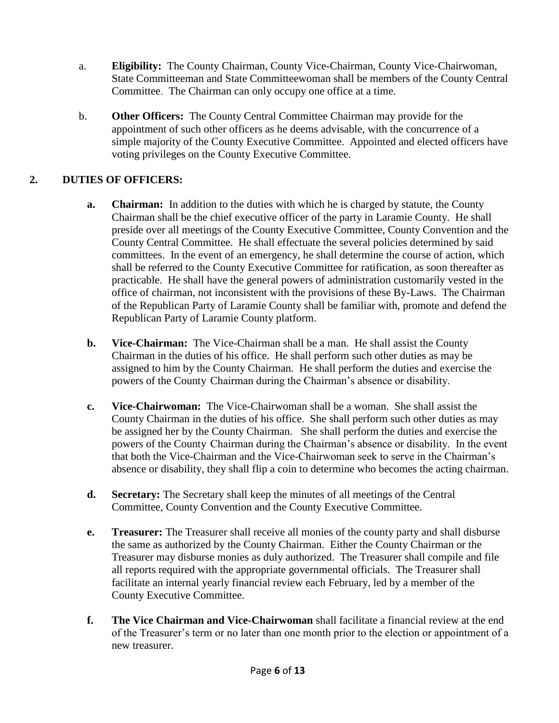- a. **Eligibility:** The County Chairman, County Vice-Chairman, County Vice-Chairwoman, State Committeeman and State Committeewoman shall be members of the County Central Committee. The Chairman can only occupy one office at a time.
- b. **Other Officers:** The County Central Committee Chairman may provide for the appointment of such other officers as he deems advisable, with the concurrence of a simple majority of the County Executive Committee. Appointed and elected officers have voting privileges on the County Executive Committee.

# **2. DUTIES OF OFFICERS:**

- **a. Chairman:** In addition to the duties with which he is charged by statute, the County Chairman shall be the chief executive officer of the party in Laramie County. He shall preside over all meetings of the County Executive Committee, County Convention and the County Central Committee. He shall effectuate the several policies determined by said committees. In the event of an emergency, he shall determine the course of action, which shall be referred to the County Executive Committee for ratification, as soon thereafter as practicable. He shall have the general powers of administration customarily vested in the office of chairman, not inconsistent with the provisions of these By-Laws. The Chairman of the Republican Party of Laramie County shall be familiar with, promote and defend the Republican Party of Laramie County platform.
- **b. Vice-Chairman:** The Vice-Chairman shall be a man. He shall assist the County Chairman in the duties of his office. He shall perform such other duties as may be assigned to him by the County Chairman. He shall perform the duties and exercise the powers of the County Chairman during the Chairman's absence or disability.
- **c. Vice-Chairwoman:** The Vice-Chairwoman shall be a woman. She shall assist the County Chairman in the duties of his office. She shall perform such other duties as may be assigned her by the County Chairman. She shall perform the duties and exercise the powers of the County Chairman during the Chairman's absence or disability. In the event that both the Vice-Chairman and the Vice-Chairwoman seek to serve in the Chairman's absence or disability, they shall flip a coin to determine who becomes the acting chairman.
- **d. Secretary:** The Secretary shall keep the minutes of all meetings of the Central Committee, County Convention and the County Executive Committee.
- **e. Treasurer:** The Treasurer shall receive all monies of the county party and shall disburse the same as authorized by the County Chairman. Either the County Chairman or the Treasurer may disburse monies as duly authorized. The Treasurer shall compile and file all reports required with the appropriate governmental officials. The Treasurer shall facilitate an internal yearly financial review each February, led by a member of the County Executive Committee.
- **f. The Vice Chairman and Vice-Chairwoman** shall facilitate a financial review at the end of the Treasurer's term or no later than one month prior to the election or appointment of a new treasurer.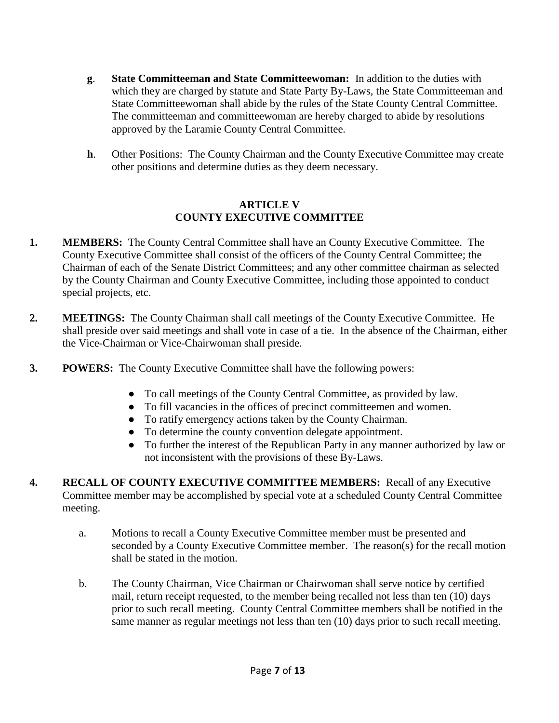- **g**. **State Committeeman and State Committeewoman:** In addition to the duties with which they are charged by statute and State Party By-Laws, the State Committeeman and State Committeewoman shall abide by the rules of the State County Central Committee. The committeeman and committeewoman are hereby charged to abide by resolutions approved by the Laramie County Central Committee.
- **h**. Other Positions: The County Chairman and the County Executive Committee may create other positions and determine duties as they deem necessary.

### **ARTICLE V COUNTY EXECUTIVE COMMITTEE**

- **1. MEMBERS:** The County Central Committee shall have an County Executive Committee. The County Executive Committee shall consist of the officers of the County Central Committee; the Chairman of each of the Senate District Committees; and any other committee chairman as selected by the County Chairman and County Executive Committee, including those appointed to conduct special projects, etc.
- **2. MEETINGS:** The County Chairman shall call meetings of the County Executive Committee. He shall preside over said meetings and shall vote in case of a tie. In the absence of the Chairman, either the Vice-Chairman or Vice-Chairwoman shall preside.
- **3. POWERS:** The County Executive Committee shall have the following powers:
	- To call meetings of the County Central Committee, as provided by law.
	- To fill vacancies in the offices of precinct committeemen and women.
	- To ratify emergency actions taken by the County Chairman.
	- To determine the county convention delegate appointment.
	- To further the interest of the Republican Party in any manner authorized by law or not inconsistent with the provisions of these By-Laws.
- **4. RECALL OF COUNTY EXECUTIVE COMMITTEE MEMBERS:** Recall of any Executive Committee member may be accomplished by special vote at a scheduled County Central Committee meeting.
	- a. Motions to recall a County Executive Committee member must be presented and seconded by a County Executive Committee member. The reason(s) for the recall motion shall be stated in the motion.
	- b. The County Chairman, Vice Chairman or Chairwoman shall serve notice by certified mail, return receipt requested, to the member being recalled not less than ten (10) days prior to such recall meeting. County Central Committee members shall be notified in the same manner as regular meetings not less than ten (10) days prior to such recall meeting.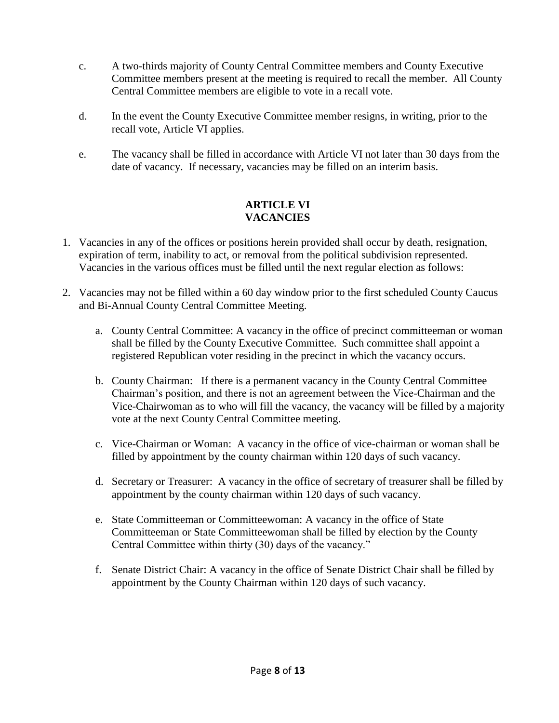- c. A two-thirds majority of County Central Committee members and County Executive Committee members present at the meeting is required to recall the member. All County Central Committee members are eligible to vote in a recall vote.
- d. In the event the County Executive Committee member resigns, in writing, prior to the recall vote, Article VI applies.
- e. The vacancy shall be filled in accordance with Article VI not later than 30 days from the date of vacancy. If necessary, vacancies may be filled on an interim basis.

### **ARTICLE VI VACANCIES**

- 1. Vacancies in any of the offices or positions herein provided shall occur by death, resignation, expiration of term, inability to act, or removal from the political subdivision represented. Vacancies in the various offices must be filled until the next regular election as follows:
- 2. Vacancies may not be filled within a 60 day window prior to the first scheduled County Caucus and Bi-Annual County Central Committee Meeting.
	- a. County Central Committee: A vacancy in the office of precinct committeeman or woman shall be filled by the County Executive Committee. Such committee shall appoint a registered Republican voter residing in the precinct in which the vacancy occurs.
	- b. County Chairman: If there is a permanent vacancy in the County Central Committee Chairman's position, and there is not an agreement between the Vice-Chairman and the Vice-Chairwoman as to who will fill the vacancy, the vacancy will be filled by a majority vote at the next County Central Committee meeting.
	- c. Vice-Chairman or Woman: A vacancy in the office of vice-chairman or woman shall be filled by appointment by the county chairman within 120 days of such vacancy.
	- d. Secretary or Treasurer: A vacancy in the office of secretary of treasurer shall be filled by appointment by the county chairman within 120 days of such vacancy.
	- e. State Committeeman or Committeewoman: A vacancy in the office of State Committeeman or State Committeewoman shall be filled by election by the County Central Committee within thirty (30) days of the vacancy."
	- f. Senate District Chair: A vacancy in the office of Senate District Chair shall be filled by appointment by the County Chairman within 120 days of such vacancy.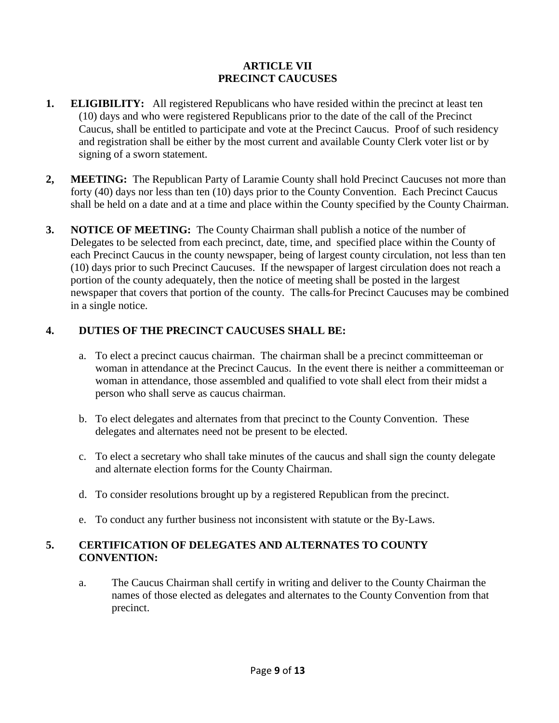### **ARTICLE VII PRECINCT CAUCUSES**

- **1. ELIGIBILITY:** All registered Republicans who have resided within the precinct at least ten (10) days and who were registered Republicans prior to the date of the call of the Precinct Caucus, shall be entitled to participate and vote at the Precinct Caucus. Proof of such residency and registration shall be either by the most current and available County Clerk voter list or by signing of a sworn statement.
- **2, MEETING:** The Republican Party of Laramie County shall hold Precinct Caucuses not more than forty (40) days nor less than ten (10) days prior to the County Convention. Each Precinct Caucus shall be held on a date and at a time and place within the County specified by the County Chairman.
- **3. NOTICE OF MEETING:** The County Chairman shall publish a notice of the number of Delegates to be selected from each precinct, date, time, and specified place within the County of each Precinct Caucus in the county newspaper, being of largest county circulation, not less than ten (10) days prior to such Precinct Caucuses. If the newspaper of largest circulation does not reach a portion of the county adequately, then the notice of meeting shall be posted in the largest newspaper that covers that portion of the county. The calls for Precinct Caucuses may be combined in a single notice.

# **4. DUTIES OF THE PRECINCT CAUCUSES SHALL BE:**

- a. To elect a precinct caucus chairman. The chairman shall be a precinct committeeman or woman in attendance at the Precinct Caucus. In the event there is neither a committeeman or woman in attendance, those assembled and qualified to vote shall elect from their midst a person who shall serve as caucus chairman.
- b. To elect delegates and alternates from that precinct to the County Convention. These delegates and alternates need not be present to be elected.
- c. To elect a secretary who shall take minutes of the caucus and shall sign the county delegate and alternate election forms for the County Chairman.
- d. To consider resolutions brought up by a registered Republican from the precinct.
- e. To conduct any further business not inconsistent with statute or the By-Laws.

### **5. CERTIFICATION OF DELEGATES AND ALTERNATES TO COUNTY CONVENTION:**

a. The Caucus Chairman shall certify in writing and deliver to the County Chairman the names of those elected as delegates and alternates to the County Convention from that precinct.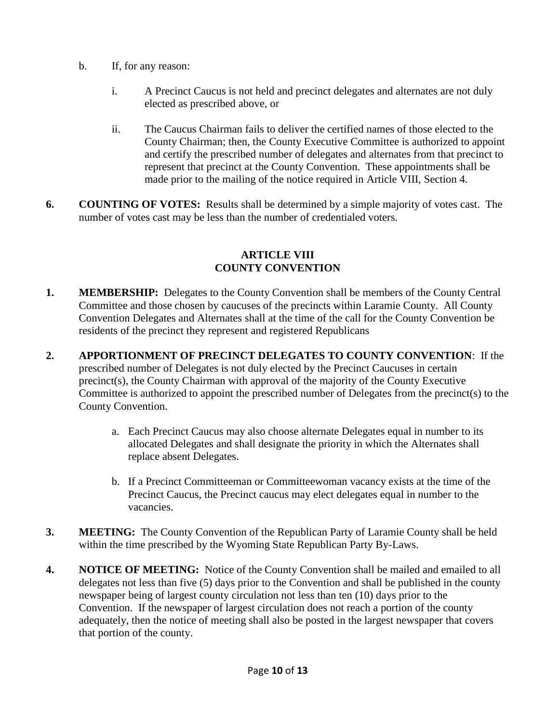- b. If, for any reason:
	- i. A Precinct Caucus is not held and precinct delegates and alternates are not duly elected as prescribed above, or
	- ii. The Caucus Chairman fails to deliver the certified names of those elected to the County Chairman; then, the County Executive Committee is authorized to appoint and certify the prescribed number of delegates and alternates from that precinct to represent that precinct at the County Convention. These appointments shall be made prior to the mailing of the notice required in Article VIII, Section 4.
- **6. COUNTING OF VOTES:** Results shall be determined by a simple majority of votes cast. The number of votes cast may be less than the number of credentialed voters.

#### **ARTICLE VIII COUNTY CONVENTION**

- **1. MEMBERSHIP:** Delegates to the County Convention shall be members of the County Central Committee and those chosen by caucuses of the precincts within Laramie County. All County Convention Delegates and Alternates shall at the time of the call for the County Convention be residents of the precinct they represent and registered Republicans
- **2. APPORTIONMENT OF PRECINCT DELEGATES TO COUNTY CONVENTION**: If the prescribed number of Delegates is not duly elected by the Precinct Caucuses in certain precinct(s), the County Chairman with approval of the majority of the County Executive Committee is authorized to appoint the prescribed number of Delegates from the precinct(s) to the County Convention.
	- a. Each Precinct Caucus may also choose alternate Delegates equal in number to its allocated Delegates and shall designate the priority in which the Alternates shall replace absent Delegates.
	- b. If a Precinct Committeeman or Committeewoman vacancy exists at the time of the Precinct Caucus, the Precinct caucus may elect delegates equal in number to the vacancies.
- **3. MEETING:** The County Convention of the Republican Party of Laramie County shall be held within the time prescribed by the Wyoming State Republican Party By-Laws.
- **4. NOTICE OF MEETING:** Notice of the County Convention shall be mailed and emailed to all delegates not less than five (5) days prior to the Convention and shall be published in the county newspaper being of largest county circulation not less than ten (10) days prior to the Convention. If the newspaper of largest circulation does not reach a portion of the county adequately, then the notice of meeting shall also be posted in the largest newspaper that covers that portion of the county.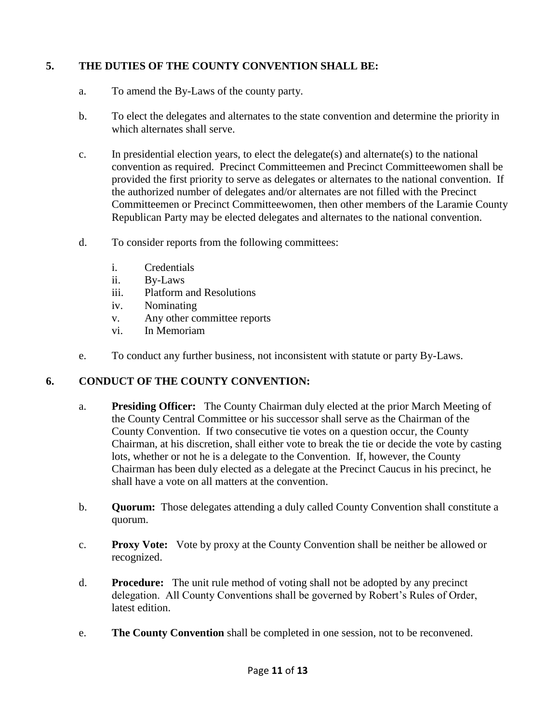# **5. THE DUTIES OF THE COUNTY CONVENTION SHALL BE:**

- a. To amend the By-Laws of the county party.
- b. To elect the delegates and alternates to the state convention and determine the priority in which alternates shall serve.
- c. In presidential election years, to elect the delegate(s) and alternate(s) to the national convention as required. Precinct Committeemen and Precinct Committeewomen shall be provided the first priority to serve as delegates or alternates to the national convention. If the authorized number of delegates and/or alternates are not filled with the Precinct Committeemen or Precinct Committeewomen, then other members of the Laramie County Republican Party may be elected delegates and alternates to the national convention.
- d. To consider reports from the following committees:
	- i. Credentials
	- ii. By-Laws
	- iii. Platform and Resolutions
	- iv. Nominating
	- v. Any other committee reports
	- vi. In Memoriam
- e. To conduct any further business, not inconsistent with statute or party By-Laws.

# **6. CONDUCT OF THE COUNTY CONVENTION:**

- a. **Presiding Officer:** The County Chairman duly elected at the prior March Meeting of the County Central Committee or his successor shall serve as the Chairman of the County Convention. If two consecutive tie votes on a question occur, the County Chairman, at his discretion, shall either vote to break the tie or decide the vote by casting lots, whether or not he is a delegate to the Convention. If, however, the County Chairman has been duly elected as a delegate at the Precinct Caucus in his precinct, he shall have a vote on all matters at the convention.
- b. **Quorum:** Those delegates attending a duly called County Convention shall constitute a quorum.
- c. **Proxy Vote:** Vote by proxy at the County Convention shall be neither be allowed or recognized.
- d. **Procedure:** The unit rule method of voting shall not be adopted by any precinct delegation. All County Conventions shall be governed by Robert's Rules of Order, latest edition.
- e. **The County Convention** shall be completed in one session, not to be reconvened.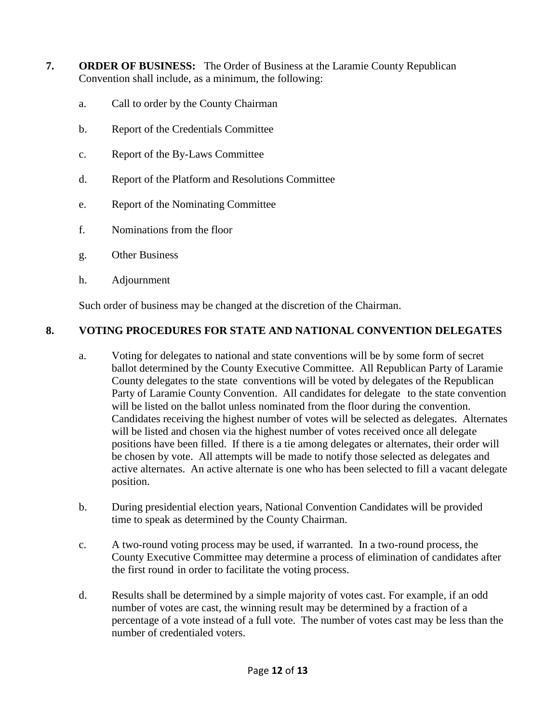- **7. ORDER OF BUSINESS:** The Order of Business at the Laramie County Republican Convention shall include, as a minimum, the following:
	- a. Call to order by the County Chairman
	- b. Report of the Credentials Committee
	- c. Report of the By-Laws Committee
	- d. Report of the Platform and Resolutions Committee
	- e. Report of the Nominating Committee
	- f. Nominations from the floor
	- g. Other Business
	- h. Adjournment

Such order of business may be changed at the discretion of the Chairman.

### **8. VOTING PROCEDURES FOR STATE AND NATIONAL CONVENTION DELEGATES**

- a. Voting for delegates to national and state conventions will be by some form of secret ballot determined by the County Executive Committee. All Republican Party of Laramie County delegates to the state conventions will be voted by delegates of the Republican Party of Laramie County Convention. All candidates for delegate to the state convention will be listed on the ballot unless nominated from the floor during the convention. Candidates receiving the highest number of votes will be selected as delegates. Alternates will be listed and chosen via the highest number of votes received once all delegate positions have been filled. If there is a tie among delegates or alternates, their order will be chosen by vote. All attempts will be made to notify those selected as delegates and active alternates. An active alternate is one who has been selected to fill a vacant delegate position.
- b. During presidential election years, National Convention Candidates will be provided time to speak as determined by the County Chairman.
- c. A two-round voting process may be used, if warranted. In a two-round process, the County Executive Committee may determine a process of elimination of candidates after the first round in order to facilitate the voting process.
- d. Results shall be determined by a simple majority of votes cast. For example, if an odd number of votes are cast, the winning result may be determined by a fraction of a percentage of a vote instead of a full vote. The number of votes cast may be less than the number of credentialed voters.